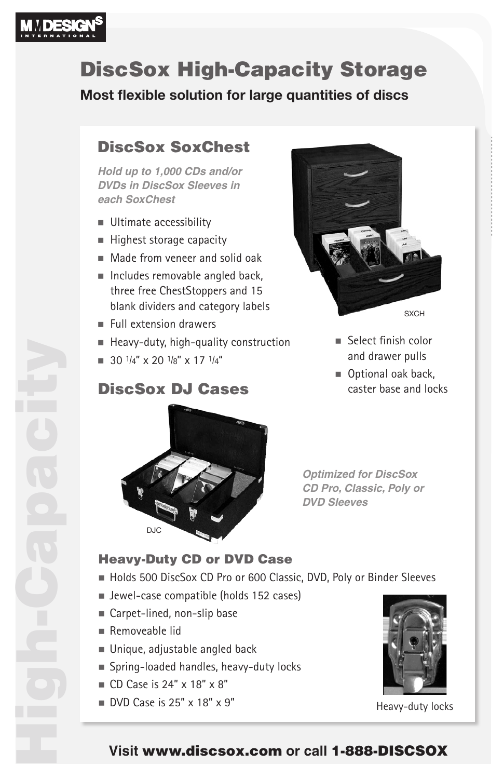

# DiscSox High-Capacity Storage

**Most flexible solution for large quantities of discs**

### DiscSox SoxChest

**Hold up to 1,000 CDs and/or DVDs in DiscSox Sleeves in each SoxChest**

- **Ultimate accessibility**
- $\blacksquare$  Highest storage capacity
- $\blacksquare$  Made from veneer and solid oak
- $\blacksquare$  Includes removable angled back, three free ChestStoppers and 15 blank dividers and category labels
- $\blacksquare$  Full extension drawers
- $H$  Heavy-duty, high-quality construction
- $\blacksquare$  30  $\frac{1}{4}$ " x 20  $\frac{1}{8}$ " x 17  $\frac{1}{4}$ "

### DiscSox DJ Cases



- $\blacksquare$  Select finish color and drawer pulls
- Optional oak back, caster base and locks



**Optimized for DiscSox CD Pro, Classic, Poly or DVD Sleeves**

#### Heavy-Duty CD or DVD Case

- Holds 500 DiscSox CD Pro or 600 Classic, DVD, Poly or Binder Sleeves
- Jewel-case compatible (holds 152 cases)
- Carpet-lined, non-slip base
- $R$  Removeable lid
- $\blacksquare$  Unique, adjustable angled back
- Spring-loaded handles, heavy-duty locks
- $\Box$  CD Case is 24" x 18" x 8"
- $\Box$  DVD Case is 25" x 18" x 9"



Heavy-duty locks

#### **Visit** www.discsox.com **or call** 1-888-DISCSOX